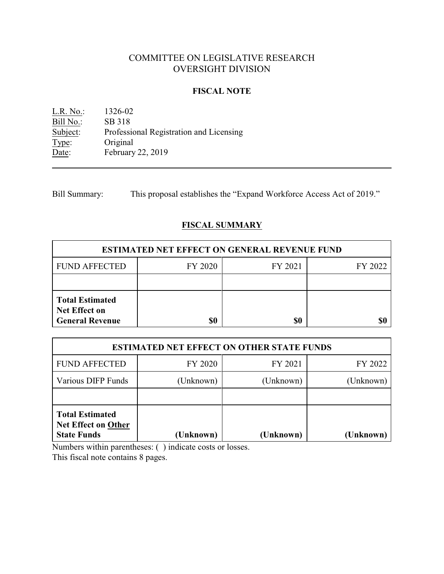# COMMITTEE ON LEGISLATIVE RESEARCH OVERSIGHT DIVISION

### **FISCAL NOTE**

L.R. No.: 1326-02 Bill No.: SB 318<br>Subject: Professi Professional Registration and Licensing Type: Original Date: February 22, 2019

Bill Summary: This proposal establishes the "Expand Workforce Access Act of 2019."

## **FISCAL SUMMARY**

| <b>ESTIMATED NET EFFECT ON GENERAL REVENUE FUND</b>                      |         |         |         |  |  |
|--------------------------------------------------------------------------|---------|---------|---------|--|--|
| <b>FUND AFFECTED</b>                                                     | FY 2020 | FY 2021 | FY 2022 |  |  |
|                                                                          |         |         |         |  |  |
| <b>Total Estimated</b><br><b>Net Effect on</b><br><b>General Revenue</b> |         | \$0     |         |  |  |

| <b>ESTIMATED NET EFFECT ON OTHER STATE FUNDS</b>                           |           |           |           |  |  |
|----------------------------------------------------------------------------|-----------|-----------|-----------|--|--|
| <b>FUND AFFECTED</b>                                                       | FY 2020   | FY 2021   | FY 2022   |  |  |
| Various DIFP Funds                                                         | (Unknown) | (Unknown) | (Unknown) |  |  |
|                                                                            |           |           |           |  |  |
| <b>Total Estimated</b><br><b>Net Effect on Other</b><br><b>State Funds</b> | (Unknown) | (Unknown) | (Unknown) |  |  |

Numbers within parentheses: ( ) indicate costs or losses.

This fiscal note contains 8 pages.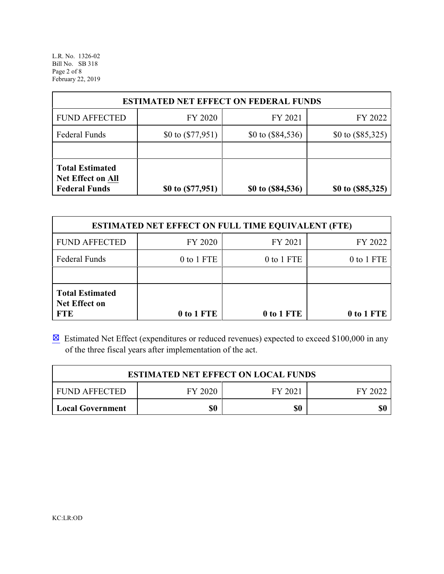L.R. No. 1326-02 Bill No. SB 318 Page 2 of 8 February 22, 2019

| <b>ESTIMATED NET EFFECT ON FEDERAL FUNDS</b>                               |                     |                     |                     |  |  |
|----------------------------------------------------------------------------|---------------------|---------------------|---------------------|--|--|
| <b>FUND AFFECTED</b>                                                       | FY 2020             | FY 2021             | FY 2022             |  |  |
| <b>Federal Funds</b>                                                       | \$0 to $(\$77,951)$ | \$0 to $(\$84,536)$ | \$0 to $(\$85,325)$ |  |  |
|                                                                            |                     |                     |                     |  |  |
| <b>Total Estimated</b><br><b>Net Effect on All</b><br><b>Federal Funds</b> | \$0 to $(\$77,951)$ | \$0 to (\$84,536)   | \$0 to (\$85,325)   |  |  |

| <b>ESTIMATED NET EFFECT ON FULL TIME EQUIVALENT (FTE)</b>    |            |            |            |  |  |
|--------------------------------------------------------------|------------|------------|------------|--|--|
| <b>FUND AFFECTED</b>                                         | FY 2020    | FY 2021    | FY 2022    |  |  |
| <b>Federal Funds</b>                                         | 0 to 1 FTE | 0 to 1 FTE | 0 to 1 FTE |  |  |
|                                                              |            |            |            |  |  |
| <b>Total Estimated</b><br><b>Net Effect on</b><br><b>FTE</b> | 0 to 1 FTE | 0 to 1 FTE | 0 to 1 FTE |  |  |

 $\boxtimes$  Estimated Net Effect (expenditures or reduced revenues) expected to exceed \$100,000 in any of the three fiscal years after implementation of the act.

| <b>ESTIMATED NET EFFECT ON LOCAL FUNDS</b>            |  |  |  |  |  |
|-------------------------------------------------------|--|--|--|--|--|
| <b>FUND AFFECTED</b><br>FY 2020<br>FY 2021<br>FY 2022 |  |  |  |  |  |
| \$0<br>\$0<br>\$0<br>  Local Government               |  |  |  |  |  |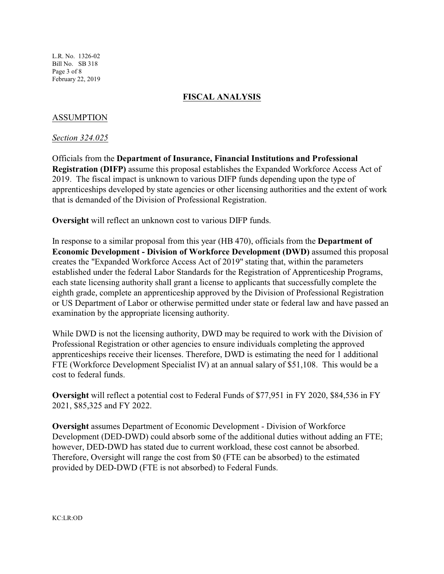L.R. No. 1326-02 Bill No. SB 318 Page 3 of 8 February 22, 2019

## **FISCAL ANALYSIS**

### ASSUMPTION

*Section 324.025*

Officials from the **Department of Insurance, Financial Institutions and Professional Registration (DIFP)** assume this proposal establishes the Expanded Workforce Access Act of 2019. The fiscal impact is unknown to various DIFP funds depending upon the type of apprenticeships developed by state agencies or other licensing authorities and the extent of work that is demanded of the Division of Professional Registration.

**Oversight** will reflect an unknown cost to various DIFP funds.

In response to a similar proposal from this year (HB 470), officials from the **Department of Economic Development - Division of Workforce Development (DWD)** assumed this proposal creates the "Expanded Workforce Access Act of 2019" stating that, within the parameters established under the federal Labor Standards for the Registration of Apprenticeship Programs, each state licensing authority shall grant a license to applicants that successfully complete the eighth grade, complete an apprenticeship approved by the Division of Professional Registration or US Department of Labor or otherwise permitted under state or federal law and have passed an examination by the appropriate licensing authority.

While DWD is not the licensing authority, DWD may be required to work with the Division of Professional Registration or other agencies to ensure individuals completing the approved apprenticeships receive their licenses. Therefore, DWD is estimating the need for 1 additional FTE (Workforce Development Specialist IV) at an annual salary of \$51,108. This would be a cost to federal funds.

**Oversight** will reflect a potential cost to Federal Funds of \$77,951 in FY 2020, \$84,536 in FY 2021, \$85,325 and FY 2022.

**Oversight** assumes Department of Economic Development - Division of Workforce Development (DED-DWD) could absorb some of the additional duties without adding an FTE; however, DED-DWD has stated due to current workload, these cost cannot be absorbed. Therefore, Oversight will range the cost from \$0 (FTE can be absorbed) to the estimated provided by DED-DWD (FTE is not absorbed) to Federal Funds.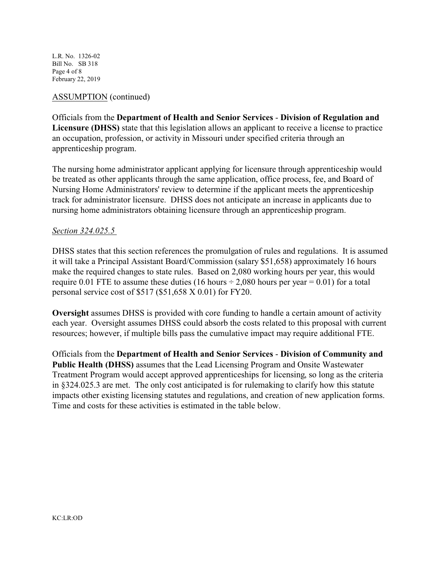L.R. No. 1326-02 Bill No. SB 318 Page 4 of 8 February 22, 2019

### ASSUMPTION (continued)

Officials from the **Department of Health and Senior Services** - **Division of Regulation and Licensure (DHSS)** state that this legislation allows an applicant to receive a license to practice an occupation, profession, or activity in Missouri under specified criteria through an apprenticeship program.

The nursing home administrator applicant applying for licensure through apprenticeship would be treated as other applicants through the same application, office process, fee, and Board of Nursing Home Administrators' review to determine if the applicant meets the apprenticeship track for administrator licensure. DHSS does not anticipate an increase in applicants due to nursing home administrators obtaining licensure through an apprenticeship program.

### *Section 324.025.5*

DHSS states that this section references the promulgation of rules and regulations. It is assumed it will take a Principal Assistant Board/Commission (salary \$51,658) approximately 16 hours make the required changes to state rules. Based on 2,080 working hours per year, this would require 0.01 FTE to assume these duties (16 hours  $\div$  2,080 hours per year = 0.01) for a total personal service cost of \$517 (\$51,658 X 0.01) for FY20.

**Oversight** assumes DHSS is provided with core funding to handle a certain amount of activity each year. Oversight assumes DHSS could absorb the costs related to this proposal with current resources; however, if multiple bills pass the cumulative impact may require additional FTE.

Officials from the **Department of Health and Senior Services** - **Division of Community and Public Health (DHSS)** assumes that the Lead Licensing Program and Onsite Wastewater Treatment Program would accept approved apprenticeships for licensing, so long as the criteria in §324.025.3 are met. The only cost anticipated is for rulemaking to clarify how this statute impacts other existing licensing statutes and regulations, and creation of new application forms. Time and costs for these activities is estimated in the table below.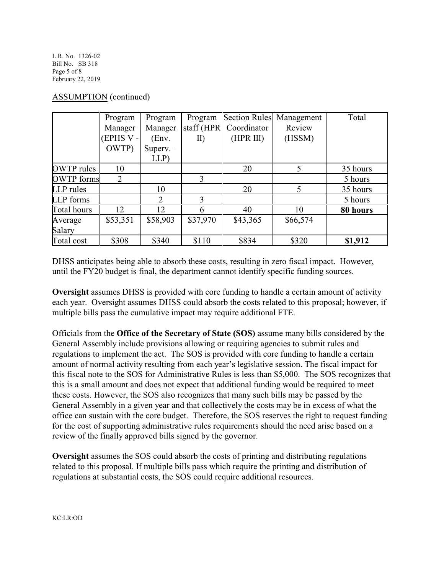L.R. No. 1326-02 Bill No. SB 318 Page 5 of 8 February 22, 2019

| <b>ASSUMPTION</b> (continued) |  |
|-------------------------------|--|
|-------------------------------|--|

|                   | Program   | Program     | Program     |             | Section Rules Management | Total    |
|-------------------|-----------|-------------|-------------|-------------|--------------------------|----------|
|                   | Manager   | Manager     | staff (HPR) | Coordinator | Review                   |          |
|                   | (EPHS V - | (Env.       | II)         | (HPR III)   | (HSSM)                   |          |
|                   | OWTP)     | Superv. $-$ |             |             |                          |          |
|                   |           | LLP         |             |             |                          |          |
| OWTP rules        | 10        |             |             | 20          | 5                        | 35 hours |
| <b>OWTP</b> forms | 2         |             | 3           |             |                          | 5 hours  |
| LLP rules         |           | 10          |             | 20          | 5                        | 35 hours |
| <b>LLP</b> forms  |           | 2           | 3           |             |                          | 5 hours  |
| Total hours       | 12.       | 12          | 6           | 40          | 10                       | 80 hours |
| Average           | \$53,351  | \$58,903    | \$37,970    | \$43,365    | \$66,574                 |          |
| Salary            |           |             |             |             |                          |          |
| Total cost        | \$308     | \$340       | \$110       | \$834       | \$320                    | \$1,912  |

DHSS anticipates being able to absorb these costs, resulting in zero fiscal impact. However, until the FY20 budget is final, the department cannot identify specific funding sources.

**Oversight** assumes DHSS is provided with core funding to handle a certain amount of activity each year. Oversight assumes DHSS could absorb the costs related to this proposal; however, if multiple bills pass the cumulative impact may require additional FTE.

Officials from the **Office of the Secretary of State (SOS)** assume many bills considered by the General Assembly include provisions allowing or requiring agencies to submit rules and regulations to implement the act. The SOS is provided with core funding to handle a certain amount of normal activity resulting from each year's legislative session. The fiscal impact for this fiscal note to the SOS for Administrative Rules is less than \$5,000. The SOS recognizes that this is a small amount and does not expect that additional funding would be required to meet these costs. However, the SOS also recognizes that many such bills may be passed by the General Assembly in a given year and that collectively the costs may be in excess of what the office can sustain with the core budget. Therefore, the SOS reserves the right to request funding for the cost of supporting administrative rules requirements should the need arise based on a review of the finally approved bills signed by the governor.

**Oversight** assumes the SOS could absorb the costs of printing and distributing regulations related to this proposal. If multiple bills pass which require the printing and distribution of regulations at substantial costs, the SOS could require additional resources.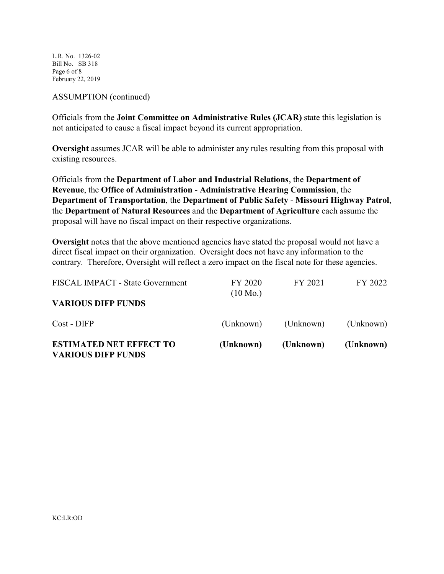L.R. No. 1326-02 Bill No. SB 318 Page 6 of 8 February 22, 2019

#### ASSUMPTION (continued)

Officials from the **Joint Committee on Administrative Rules (JCAR)** state this legislation is not anticipated to cause a fiscal impact beyond its current appropriation.

**Oversight** assumes JCAR will be able to administer any rules resulting from this proposal with existing resources.

Officials from the **Department of Labor and Industrial Relations**, the **Department of Revenue**, the **Office of Administration** - **Administrative Hearing Commission**, the **Department of Transportation**, the **Department of Public Safety** - **Missouri Highway Patrol**, the **Department of Natural Resources** and the **Department of Agriculture** each assume the proposal will have no fiscal impact on their respective organizations.

**Oversight** notes that the above mentioned agencies have stated the proposal would not have a direct fiscal impact on their organization. Oversight does not have any information to the contrary. Therefore, Oversight will reflect a zero impact on the fiscal note for these agencies.

| <b>ESTIMATED NET EFFECT TO</b><br><b>VARIOUS DIFP FUNDS</b> | (Unknown)                     | (Unknown) | (Unknown) |
|-------------------------------------------------------------|-------------------------------|-----------|-----------|
| Cost - DIFP                                                 | (Unknown)                     | (Unknown) | (Unknown) |
| <b>VARIOUS DIFP FUNDS</b>                                   |                               |           |           |
| FISCAL IMPACT - State Government                            | FY 2020<br>$(10 \text{ Mo.})$ | FY 2021   | FY 2022   |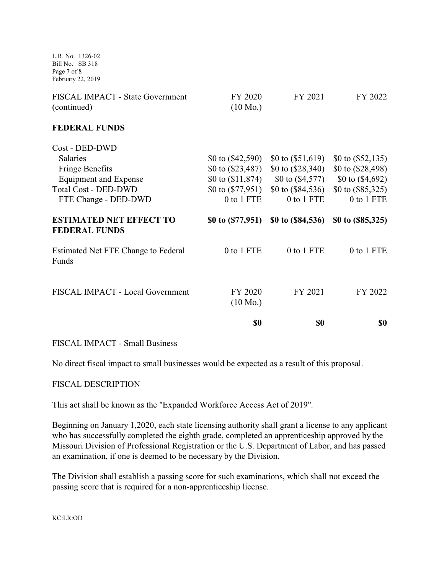L.R. No. 1326-02 Bill No. SB 318 Page 7 of 8 February 22, 2019

| FISCAL IMPACT - State Government<br>(continued)        | FY 2020<br>$(10 \text{ Mo.})$ | FY 2021                                 | FY 2022             |
|--------------------------------------------------------|-------------------------------|-----------------------------------------|---------------------|
| <b>FEDERAL FUNDS</b>                                   |                               |                                         |                     |
| Cost - DED-DWD                                         |                               |                                         |                     |
| <b>Salaries</b>                                        | \$0 to $( $42,590)$           | \$0 to $(\$51,619)$                     | \$0 to $(\$52,135)$ |
| <b>Fringe Benefits</b>                                 | \$0 to $(\$23,487)$           | \$0 to $(\$28,340)$                     | \$0 to $(\$28,498)$ |
| <b>Equipment and Expense</b>                           | \$0 to $(\$11,874)$           | \$0 to $( $4,577)$                      | \$0 to $(\$4,692)$  |
| <b>Total Cost - DED-DWD</b>                            |                               | \$0 to $(\$77,951)$ \$0 to $(\$84,536)$ | \$0 to $(\$85,325)$ |
| FTE Change - DED-DWD                                   | 0 to 1 FTE                    | 0 to 1 FTE                              | 0 to 1 FTE          |
| <b>ESTIMATED NET EFFECT TO</b><br><b>FEDERAL FUNDS</b> | \$0 to $($ 77,951 $)$         | \$0 to $(\$84,536)$                     | \$0 to $(\$85,325)$ |
| Estimated Net FTE Change to Federal<br>Funds           | 0 to 1 FTE                    | 0 to 1 FTE                              | 0 to 1 FTE          |
| FISCAL IMPACT - Local Government                       | FY 2020<br>$(10 \text{ Mo.})$ | FY 2021                                 | FY 2022             |
|                                                        | \$0                           | \$0                                     | \$0                 |

### FISCAL IMPACT - Small Business

No direct fiscal impact to small businesses would be expected as a result of this proposal.

### FISCAL DESCRIPTION

This act shall be known as the "Expanded Workforce Access Act of 2019".

Beginning on January 1,2020, each state licensing authority shall grant a license to any applicant who has successfully completed the eighth grade, completed an apprenticeship approved by the Missouri Division of Professional Registration or the U.S. Department of Labor, and has passed an examination, if one is deemed to be necessary by the Division.

The Division shall establish a passing score for such examinations, which shall not exceed the passing score that is required for a non-apprenticeship license.